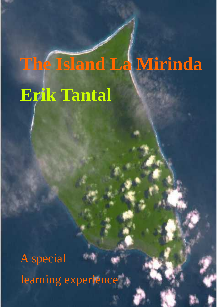# **The Island La Mirinda Erik Tantal**

A special learning experience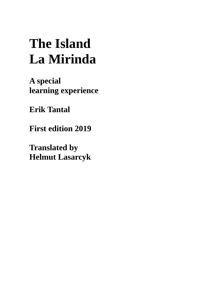# **The Island La Mirinda**

**A special learning experience**

**Erik Tantal**

**First edition 2019**

**Translated by Helmut Lasarcyk**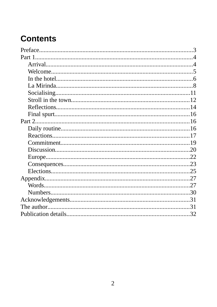### **Contents**

| Preface |    |
|---------|----|
| Part 1. |    |
|         |    |
|         |    |
|         |    |
|         |    |
|         |    |
|         |    |
|         |    |
|         |    |
|         |    |
|         | 16 |
|         |    |
|         |    |
|         |    |
|         |    |
|         |    |
|         |    |
|         |    |
|         | 27 |
|         | 30 |
|         | 31 |
|         | 31 |
|         | 32 |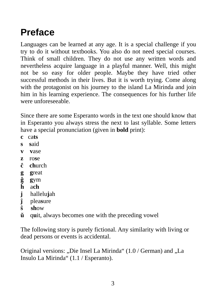# <span id="page-3-0"></span>**Preface**

Languages can be learned at any age. It is a special challenge if you try to do it without textbooks. You also do not need special courses. Think of small children. They do not use any written words and nevertheless acquire language in a playful manner. Well, this might not be so easy for older people. Maybe they have tried other successful methods in their lives. But it is worth trying. Come along with the protagonist on his journey to the island La Mirinda and join him in his learning experience. The consequences for his further life were unforeseeable.

Since there are some Esperanto words in the text one should know that in Esperanto you always stress the next to last syllable. Some letters have a special pronunciation (given in **bold** print):

- **c** ca**ts**
- **s s**aid
- **v v**ase
- **z** ro**s**e
- **ĉ ch**urch
- **g** great<br>**g** gym<br>**h** ach
- **ĝ g**ym
- **ĥ** a**ch**
- **j** hallelu**j**ah
- **ĵ** plea**s**ure
- **ŝ sh**ow
- **ŭ** q**u**it, always becomes one with the preceding vowel

The following story is purely fictional. Any similarity with living or dead persons or events is accidental.

Original versions: "Die Insel La Mirinda" (1.0 / German) and "La Insulo La Mirinda" (1.1 / Esperanto).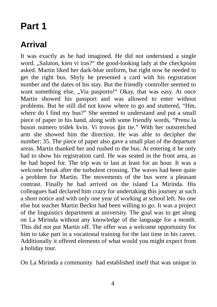### <span id="page-4-1"></span>**Part 1**

#### <span id="page-4-0"></span>**Arrival**

It was exactly as he had imagined. He did not understand a single word. "Saluton, kien vi iras?" the good-looking lady at the checkpoint asked. Martin liked her dark-blue uniform, but right now he needed to get the right bus. Shyly he presented a card with his registration number and the dates of his stay. But the friendly controller seemed to want something else, "Via pasporto!" Okay, that was easy. At once Martin showed his passport and was allowed to enter without problems. But he still did not know where to go and stuttered, "Hm, where do I find my bus?" She seemed to understand and put a small piece of paper in his hand, along with some friendly words, "Prenu la buson numero tridek kvin. Vi trovos ĝin tie." With her outstretched arm she showed him the direction. He was able to decipher the number: 35. The piece of paper also gave a small plan of the departure areas. Martin thanked her and rushed to the bus. At entering it he only had to show his registration card. He was seated in the front area, as he had hoped for. The trip was to last at least for an hour. It was a welcome break after the turbulent crossing. The waves had been quite a problem for Martin. The movements of the bus were a pleasant contrast. Finally he had arrived on the island La Mirinda. His colleagues had declared him crazy for undertaking this journey at such a short notice and with only one year of working at school left. No one else but teacher Martin Beckst had been willing to go. It was a project of the linguistics department at university. The goal was to get along on La Mirinda without any knowledge of the language for a month. This did not put Martin off. The offer was a welcome opportunity for him to take part in a vocational training for the last time in his career. Additionally it offered elements of what would you might expect from a holiday tour.

On La Mirinda a community had established itself that was unique in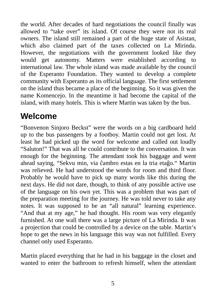the world. After decades of hard negotiations the council finally was allowed to "take over" its island. Of course they were not its real owners. The island still remained a part of the huge state of Asistan, which also claimed part of the taxes collected on La Mirinda. However, the negotiations with the government looked like they would get autonomy. Matters were established according to international law. The whole island was made available by the council of the Esperanto Foundation. They wanted to develop a complete community with Esperanto as its official language. The first settlement on the island thus became a place of the beginning. So it was given the name Komencejo. In the meantime it had become the capital of the island, with many hotels. This is where Martin was taken by the bus.

#### <span id="page-5-0"></span>**Welcome**

"Bonvenon Sinjoro Beckst" were the words on a big cardboard held up to the bus passengers by a footboy. Martin could not get lost. At least he had picked up the word for welcome and called out loudly "Saluton!" That was all he could contribute to the conversation. It was enough for the beginning. The attendant took his baggage and went ahead saying, "Sekvu min, via ĉambro estas en la tria etaĝo." Martin was relieved. He had understood the words for room and third floor. Probably he would have to pick up many words like this during the next days. He did not dare, though, to think of any possible active use of the language on his own yet. This was a problem that was part of the preparation meeting for the journey. He was told never to take any notes. It was supposed to be an "all natural" learning experience. "And that at my age," he had thought. His room was very elegantly furnished. At one wall there was a large picture of La Mirinda. It was a projection that could be controlled by a device on the table. Martin's hope to get the news in his language this way was not fulfilled. Every channel only used Esperanto.

Martin placed everything that he had in his baggage in the closet and wanted to enter the bathroom to refresh himself, when the attendant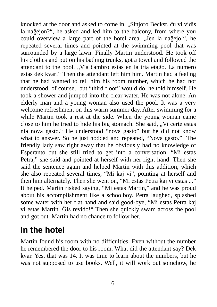knocked at the door and asked to come in. "Sinjoro Beckst, ĉu vi vidis la naĝejon?", he asked and led him to the balcony, from where you could overview a large part of the hotel area. "Jen la naĝejo!", he repeated several times and pointed at the swimming pool that was surrounded by a large lawn. Finally Martin understood. He took off his clothes and put on his bathing trunks, got a towel and followed the attendant to the pool. "Via ĉambro estas en la tria etaĝo. La numero estas dek kvar!" Then the attendant left him him. Martin had a feeling that he had wanted to tell him his room number, which he had not understood, of course, but "third floor" would do, he told himself. He took a shower and jumped into the clear water. He was not alone. An elderly man and a young woman also used the pool. It was a very welcome refreshment on this warm summer day. After swimming for a while Martin took a rest at the side. When the young woman came close to him he tried to hide his big stomach. She said, "Vi certe estas nia nova gasto." He understood "nova gasto" but he did not know what to answer. So he just nodded and repeated, "Nova gasto." The friendly lady saw right away that he obviously had no knowledge of Esperanto but she still tried to get into a conversation. "Mi estas Petra," she said and pointed at herself with her right hand. Then she said the sentence again and helped Martin with this addition, which she also repeated several times, "Mi kaj vi", pointing at herself and then him alternately. Then she went on, "Mi estas Petra kaj vi estas ..." It helped. Martin risked saying, "Mi estas Martin," and he was proud about his accomplishment like a schoolboy. Petra laughed, splashed some water with her flat hand and said good-bye, "Mi estas Petra kaj vi estas Martin. Ĝis revido!" Then she quickly swam across the pool and got out. Martin had no chance to follow her.

## <span id="page-6-0"></span>**In the hotel**

Martin found his room with no difficulties. Even without the number he remembered the door to his room. What did the attendant say? Dek kvar. Yes, that was 14. It was time to learn about the numbers, but he was not supposed to use books. Well, it will work out somehow, he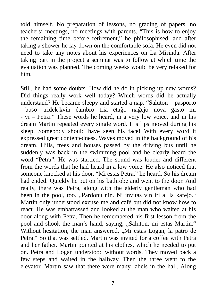told himself. No preparation of lessons, no grading of papers, no teachers' meetings, no meetings with parents. "This is how to enjoy the remaining time before retirement," he philosophised, and after taking a shower he lay down on the comfortable sofa. He even did not need to take any notes about his experiences on La Mirinda. After taking part in the project a seminar was to follow at which time the evaluation was planned. The coming weeks would be very relaxed for him.

Still, he had some doubts. How did he do in picking up new words? Did things really work well today? Which words did he actually understand? He became sleepy and started a nap. "Saluton – pasporto – buso – tridek kvin - ĉambro - tria - etaĝo - naĝejo - nova - gasto - mi - vi – Petra!" These words he heard, in a very low voice, and in his dream Martin repeated every single word. His lips moved during his sleep. Somebody should have seen his face! With every word it expressed great contentedness. Waves moved in the background of his dream. Hills, trees and houses passed by the driving bus until he suddenly was back in the swimming pool and he clearly heard the word "Petra". He was startled. The sound was louder and different from the words that he had heard in a low voice. He also noticed that someone knocked at his door. "Mi estas Petra," he heard. So his dream had ended. Quickly he put on his bathrobe and went to the door. And really, there was Petra, along with the elderly gentleman who had been in the pool, too. "Pardonu nin. Ni invitas vin iri al la kafejo." Martin only understood excuse me and café but did not know how to react. He was embarrassed and looked at the man who waited at his door along with Petra. Then he remembered his first lesson from the pool and shook the man's hand, saying, "Saluton, mi estas Martin." Without hesitation, the man answered, "Mi estas Logan, la patro de Petra." So that was settled. Martin was invited for a coffee with Petra and her father. Martin pointed at his clothes, which he needed to put on. Petra and Logan understood without words. They moved back a few steps and waited in the hallway. Then the three went to the elevator. Martin saw that there were many labels in the hall. Along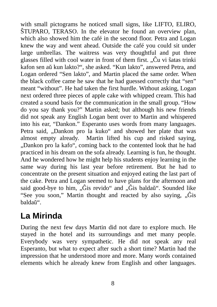with small pictograms he noticed small signs, like LIFTO, ELIRO, ŜTUPARO, TERASO. In the elevator he found an overview plan, which also showed him the café in the second floor. Petra and Logan knew the way and went ahead. Outside the café you could sit under large umbrellas. The waitress was very thoughtful and put three glasses filled with cool water in front of them first.  $\hat{C}u$  vi ŝatas trinki kafon sen aŭ kun lakto?", she asked. "Kun lakto", answered Petra, and Logan ordered "Sen lakto", and Martin placed the same order. When the black coffee came he saw that he had guessed correctly that "sen" meant "without". He had taken the first hurdle. Without asking, Logan next ordered three pieces of apple cake with whipped cream. This had created a sound basis for the communication in the small group. "How do you say thank you?" Martin asked; but although his new friends did not speak any English Logan bent over to Martin and whispered into his ear, "Dankon." Esperanto uses words from many languages. Petra said, "Dankon pro la kuko" and showed her plate that was almost empty already. Martin lifted his cup and risked saying, "Dankon pro la kafo", coming back to the contented look that he had practiced in his dream on the sofa already. Learning is fun, he thought. And he wondered how he might help his students enjoy learning in the same way during his last year before retirement. But he had to concentrate on the present situation and enjoyed eating the last part of the cake. Petra and Logan seemed to have plans for the afternoon and said good-bye to him, " $\hat{G}$ is revido" and " $\hat{G}$ is baldaŭ". Sounded like "See you soon," Martin thought and reacted by also saying,  $\partial$ ,  $\hat{G}$  is baldaŭ".

### <span id="page-8-0"></span>**La Mirinda**

During the next few days Martin did not dare to explore much. He stayed in the hotel and its surroundings and met many people. Everybody was very sympathetic. He did not speak any real Esperanto, but what to expect after such a short time? Martin had the impression that he understood more and more. Many words contained elements which he already knew from English and other languages.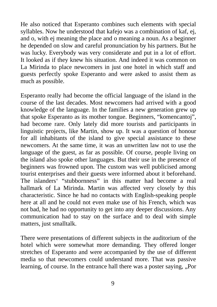He also noticed that Esperanto combines such elements with special syllables. Now he understood that kafejo was a combination of kaf, ej, and o, with ej meaning the place and o meaning a noun. As a beginner he depended on slow and careful pronunciation by his partners. But he was lucky. Everybody was very considerate and put in a lot of effort. It looked as if they knew his situation. And indeed it was common on La Mirinda to place newcomers in just one hotel in which staff and guests perfectly spoke Esperanto and were asked to assist them as much as possible.

Esperanto really had become the official language of the island in the course of the last decades. Most newcomers had arrived with a good knowledge of the language. In the families a new generation grew up that spoke Esperanto as its mother tongue. Beginners, "komencantoj", had become rare. Only lately did more tourists and participants in linguistic projects, like Martin, show up. It was a question of honour for all inhabitants of the island to give special assistance to these newcomers. At the same time, it was an unwritten law not to use the language of the guest, as far as possible. Of course, people living on the island also spoke other languages. But their use in the presence of beginners was frowned upon. The custom was well publicised among tourist enterprises and their guests were informed about it beforehand. The islanders' "stubbornness" in this matter had become a real hallmark of La Mirinda. Martin was affected very closely by this characteristic. Since he had no contacts with English-speaking people here at all and he could not even make use of his French, which was not bad, he had no opportunity to get into any deeper discussions. Any communication had to stay on the surface and to deal with simple matters, just smalltalk.

There were presentations of different subjects in the auditorium of the hotel which were somewhat more demanding. They offered longer stretches of Esperanto and were accompanied by the use of different media so that newcomers could understand more. That was passive learning, of course. In the entrance hall there was a poster saying, "Por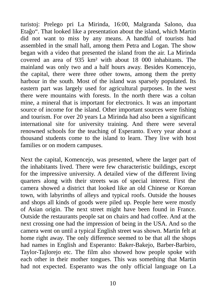turistoj: Prelego pri La Mirinda, 16:00, Malgranda Salono, dua Etaĝo". That looked like a presentation about the island, which Martin did not want to miss by any means. A handful of tourists had assembled in the small hall, among them Petra and Logan. The show began with a video that presented the island from the air. La Mirinda covered an area of 935 km² with about 18 000 inhabitants. The mainland was only two and a half hours away. Besides Komencejo, the capital, there were three other towns, among them the pretty harbour in the south. Most of the island was sparsely populated. Its eastern part was largely used for agricultural purposes. In the west there were mountains with forests. In the north there was a coltan mine, a mineral that is important for electronics. It was an important source of income for the island. Other important sources were fishing and tourism. For over 20 years La Mirinda had also been a significant international site for university training. And there were several renowned schools for the teaching of Esperanto. Every year about a thousand students come to the island to learn. They live with host families or on modern campuses.

Next the capital, Komencejo, was presented, where the larger part of the inhabitants lived. There were few characteristic buildings, except for the impressive university. A detailed view of the different living quarters along with their streets was of special interest. First the camera showed a district that looked like an old Chinese or Korean town, with labyrinths of alleys and typical roofs. Outside the houses and shops all kinds of goods were piled up. People here were mostly of Asian origin. The next street might have been found in France. Outside the restaurants people sat on chairs and had coffee. And at the next crossing one had the impression of being in the USA. And so the camera went on until a typical English street was shown. Martin felt at home right away. The only difference seemed to be that all the shops had names in English and Esperanto: Baker-Bakejo, Barber-Barbiro, Taylor-Tajlorejo etc. The film also showed how people spoke with each other in their mother tongues. This was something that Martin had not expected. Esperanto was the only official language on La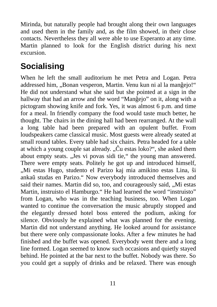Mirinda, but naturally people had brought along their own languages and used them in the family and, as the film showed, in their close contacts. Nevertheless they all were able to use Esperanto at any time. Martin planned to look for the English district during his next excursion.

#### <span id="page-11-0"></span>**Socialising**

When he left the small auditorium he met Petra and Logan. Petra addressed him, "Bonan vesperon, Martin. Venu kun ni al la manĝejo!" He did not understand what she said but she pointed at a sign in the hallway that had an arrow and the word "Manĝejo" on it, along with a pictogram showing knife and fork. Yes, it was almost 6 p.m. and time for a meal. In friendly company the food would taste much better, he thought. The chairs in the dining hall had been rearranged. At the wall a long table had been prepared with an opulent buffet. From loudspeakers came classical music. Most guests were already seated at small round tables. Every table had six chairs. Petra headed for a table at which a young couple sat already. "Cu estas loko?", she asked them about empty seats. "Jes vi povas sidi tie," the young man answered. There were empty seats. Politely he got up and introduced himself, "Mi estas Hugo, studento el Parizo kaj mia amikino estas Lina, ŝi ankaŭ studas en Parizo." Now everybody introduced themselves and said their names. Martin did so, too, and courageously said, "Mi estas Martin, instruisto el Hamburgo." He had learned the word "instruisto" from Logan, who was in the teaching business, too. When Logan wanted to continue the conversation the music abruptly stopped and the elegantly dressed hotel boss entered the podium, asking for silence. Obviously he explained what was planned for the evening. Martin did not understand anything. He looked around for assistance but there were only compassionate looks. After a few minutes he had finished and the buffet was opened. Everybody went there and a long line formed. Logan seemed to know such occasions and quietly stayed behind. He pointed at the bar next to the buffet. Nobody was there. So you could get a supply of drinks and be relaxed. There was enough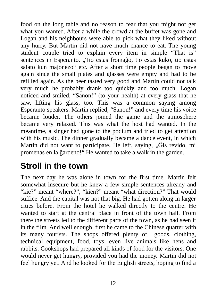food on the long table and no reason to fear that you might not get what you wanted. After a while the crowd at the buffet was gone and Logan and his neighbours were able to pick what they liked without any hurry. But Martin did not have much chance to eat. The young student couple tried to explain every item in simple "That is" sentences in Esperanto. "Tio estas fromaĝo, tio estas kuko, tio estas salato kun majonezo" etc. After a short time people began to move again since the small plates and glasses were empty and had to be refilled again. As the beer tasted very good and Martin could not talk very much he probably drank too quickly and too much. Logan noticed and smiled, "Sanon!" (to your health) at every glass that he saw, lifting his glass, too. This was a common saying among Esperanto speakers. Martin replied, "Sanon!" and every time his voice became louder. The others joined the game and the atmosphere became very relaxed. This was what the host had wanted. In the meantime, a singer had gone to the podium and tried to get attention with his music. The dinner gradually became a dance event, in which Martin did not want to participate. He left, saying, "Ĝis revido, mi promenas en la ĝardeno!" He wanted to take a walk in the garden.

## <span id="page-12-0"></span>**Stroll in the town**

The next day he was alone in town for the first time. Martin felt somewhat insecure but he knew a few simple sentences already and "kie?" meant "where?", "kien?" meant "what direction?" That would suffice. And the capital was not that big. He had gotten along in larger cities before. From the hotel he walked directly to the centre. He wanted to start at the central place in front of the town hall. From there the streets led to the different parts of the town, as he had seen it in the film. And well enough, first he came to the Chinese quarter with its many tourists. The shops offered plenty of goods, clothing, technical equipment, food, toys, even live animals like hens and rabbits. Cookshops had prepared all kinds of food for the visitors. One would never get hungry, provided you had the money. Martin did not feel hungry yet. And he looked for the English streets, hoping to find a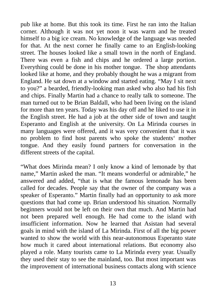pub like at home. But this took its time. First he ran into the Italian corner. Although it was not yet noon it was warm and he treated himself to a big ice cream. No knowledge of the language was needed for that. At the next corner he finally came to an English-looking street. The houses looked like a small town in the north of England. There was even a fish and chips and he ordered a large portion. Everything could be done in his mother tongue. The shop attendants looked like at home, and they probably thought he was a migrant from England. He sat down at a window and started eating. "May I sit next to you?" a bearded, friendly-looking man asked who also had his fish and chips. Finally Martin had a chance to really talk to someone. The man turned out to be Brian Baldall, who had been living on the island for more than ten years. Today was his day off and he liked to use it in the English street. He had a job at the other side of town and taught Esperanto and English at the university. On La Mirinda courses in many languages were offered, and it was very convenient that it was no problem to find host parents who spoke the students' mother tongue. And they easily found partners for conversation in the different streets of the capital.

"What does Mirinda mean? I only know a kind of lemonade by that name," Martin asked the man. "It means wonderful or admirable," he answered and added, "that is what the famous lemonade has been called for decades. People say that the owner of the company was a speaker of Esperanto." Martin finally had an opportunity to ask more questions that had come up. Brian understood his situation. Normally beginners would not be left on their own that much. And Martin had not been prepared well enough. He had come to the island with insufficient information. Now he learned that Asistan had several goals in mind with the island of La Mirinda. First of all the big power wanted to show the world with this near-autonomous Esperanto state how much it cared about international relations. But economy also played a role. Many tourists came to La Mirinda every year. Usually they used their stay to see the mainland, too. But most important was the improvement of international business contacts along with science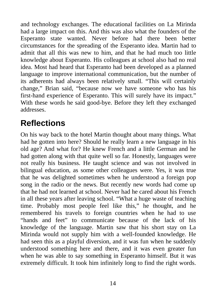and technology exchanges. The educational facilities on La Mirinda had a large impact on this. And this was also what the founders of the Esperanto state wanted. Never before had there been better circumstances for the spreading of the Esperanto idea. Martin had to admit that all this was new to him, and that he had much too little knowledge about Esperanto. His colleagues at school also had no real idea. Most had heard that Esperanto had been developed as a planned language to improve international communication, but the number of its adherents had always been relatively small. "This will certainly change," Brian said, "because now we have someone who has his first-hand experience of Esperanto. This will surely have its impact." With these words he said good-bye. Before they left they exchanged addresses.

#### <span id="page-14-0"></span>**Reflections**

On his way back to the hotel Martin thought about many things. What had he gotten into here? Should he really learn a new language in his old age? And what for? He knew French and a little German and he had gotten along with that quite well so far. Honestly, languages were not really his business. He taught science and was not involved in bilingual education, as some other colleagues were. Yes, it was true that he was delighted sometimes when he understood a foreign pop song in the radio or the news. But recently new words had come up that he had not learned at school. Never had he cared about his French in all these years after leaving school. "What a huge waste of teaching time. Probably most people feel like this," he thought, and he remembered his travels to foreign countries when he had to use "hands and feet" to communicate because of the lack of his knowledge of the language. Martin saw that his short stay on La Mirinda would not supply him with a well-founded knowledge. He had seen this as a playful diversion, and it was fun when he suddenly understood something here and there, and it was even greater fun when he was able to say something in Esperanto himself. But it was extremely difficult. It took him infinitely long to find the right words.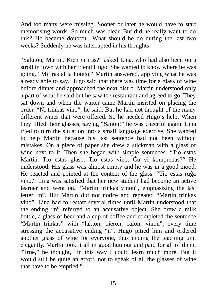And too many were missing. Sooner or later he would have to start memorising words. So much was clear. But did he really want to do this? He became doubtful. What should he do during the last two weeks? Suddenly he was interrupted in his thoughts.

"Saluton, Martin. Kien vi iras?" asked Lina, who had also been on a stroll in town with her friend Hugo. She wanted to know where he was going. "Mi iras al la hotelo," Martin answered, applying what he was already able to say. Hugo said that there was time for a glass of wine before dinner and approached the next bistro. Martin understood only a part of what he said but he saw the restaurant and agreed to go. They sat down and when the waiter came Martin insisted on placing the order. "Ni trinkas vino", he said. But he had not thought of the many different wines that were offered. So he needed Hugo's help. When they lifted their glasses, saying "Sanon!" he was cheerful again. Lina tried to turn the situation into a small language exercise. She wanted to help Martin because his last sentence had not been without mistakes. On a piece of paper she drew a stickman with a glass of wine next to it. Then she began with simple sentences. "Tio estas Martin. Tio estas glaso. Tio estas vino. Ĉu vi komprenas?" He understood. His glass was almost empty and he was in a good mood. He reacted and pointed at the content of the glass. "Tio estas ruĝa vino." Lina was satisfied that her new student had become an active learner and went on. "Martin trinkas vinon", emphasizing the last letter "n". But Martin did not notice and repeated "Martin trinkas vino". Lina had to restart several times until Martin understood that the ending "n" referred to an accusative object. She drew a milk bottle, a glass of beer and a cup of coffee and completed the sentence "Martin trinkas" with "lakton, bieron, cafon, vinon", every time stressing the accusative ending "n". Hugo pitied him and ordered another glass of wine for everyone, thus ending the teaching unit elegantly. Martin took it all in good humour and paid for all of them. "True," he thought, "in this way I could learn much more. But it would still be quite an effort, not to speak of all the glasses of wine that have to be emptied."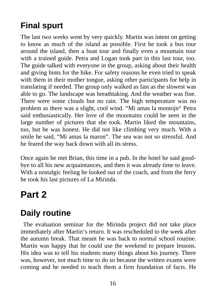## <span id="page-16-2"></span>**Final spurt**

The last two weeks went by very quickly. Martin was intent on getting to know as much of the island as possible. First he took a bus tour around the island, then a boat tour and finally even a mountain tour with a trained guide. Petra and Logan took part in this last tour, too. The guide talked with everyone in the group, asking about their health and giving hints for the hike. For safety reasons he even tried to speak with them in their mother tongue, asking other participants for help in translating if needed. The group only walked as fast as the slowest was able to go. The landscape was breathtaking. And the weather was fine. There were some clouds but no rain. The high temperature was no problem as there was a slight, cool wind. "Mi amas la montojn" Petra said enthusiastically. Her love of the mountains could be seen in the large number of pictures that she took. Martin liked the mountains, too, but he was honest. He did not like climbing very much. With a smile he said, "Mi amas la maron". The sea was not so stressful. And he feared the way back down with all its stress.

Once again he met Brian, this time in a pub. In the hotel he said goodbye to all his new acquaintances, and then it was already time to leave. With a nostalgic feeling he looked out of the coach, and from the ferry he took his last pictures of La Mirinda.

## <span id="page-16-1"></span>**Part 2**

## <span id="page-16-0"></span>**Daily routine**

 The evaluation seminar for the Mirinda project did not take place immediately after Martin's return. It was rescheduled to the week after the autumn break. That meant he was back to normal school routine. Martin was happy that he could use the weekend to prepare lessons. His idea was to tell his students many things about his journey. There was, however, not much time to do so because the written exams were coming and he needed to teach them a firm foundation of facts. He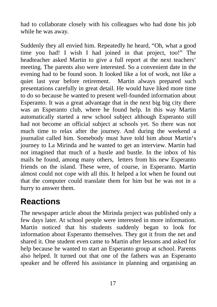had to collaborate closely with his colleagues who had done his job while he was away.

Suddenly they all envied him. Repeatedly he heard, "Oh, what a good time you had! I wish I had joined in that project, too!" The headteacher asked Martin to give a full report at the next teachers' meeting. The parents also were interested. So a convenient date in the evening had to be found soon. It looked like a lot of work, not like a quiet last year before retirement. Martin always prepared such presentations carefully in great detail. He would have liked more time to do so because he wanted to present well-founded information about Esperanto. It was a great advantage that in the next big big city there was an Esperanto club, where he found help. In this way Martin automatically started a new school subject although Esperanto still had not become an official subject at schools yet. So there was not much time to relax after the journey. And during the weekend a journalist called him. Somebody must have told him about Martin's journey to La Mirinda and he wanted to get an interview. Martin had not imagined that much of a hustle and bustle. In the inbox of his mails he found, among many others, letters from his new Esperanto friends on the island. These were, of course, in Esperanto. Martin almost could not cope with all this. It helped a lot when he found out that the computer could translate them for him but he was not in a hurry to answer them.

#### <span id="page-17-0"></span>**Reactions**

The newspaper article about the Mirinda project was published only a few days later. At school people were interested in more information. Martin noticed that his students suddenly began to look for information about Esperanto themselves. They got it from the net and shared it. One student even came to Martin after lessons and asked for help because he wanted to start an Esperanto group at school. Parents also helped. It turned out that one of the fathers was an Esperanto speaker and he offered his assistance in planning and organising an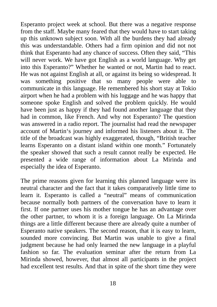Esperanto project week at school. But there was a negative response from the staff. Maybe many feared that they would have to start taking up this unknown subject soon. With all the burdens they had already this was understandable. Others had a firm opinion and did not not think that Esperanto had any chance of success. Often they said, "This will never work. We have got English as a world language. Why get into this Esperanto?" Whether he wanted or not, Martin had to react. He was not against English at all, or against its being so widespread. It was something positive that so many people were able to communicate in this language. He remembered his short stay at Tokio airport when he had a problem with his luggage and he was happy that someone spoke English and solved the problem quickly. He would have been just as happy if they had found another language that they had in common, like French. And why not Esperanto? The question was answered in a radio report. The journalist had read the newspaper account of Martin's journey and informed his listeners about it. The title of the broadcast was highly exaggerated, though, "British teacher learns Esperanto on a distant island within one month." Fortunately the speaker showed that such a result cannot really be expected. He presented a wide range of information about La Mirinda and especially the idea of Esperanto.

The prime reasons given for learning this planned language were its neutral character and the fact that it takes comparatively little time to learn it. Esperanto is called a "neutral" means of communication because normally both partners of the conversation have to learn it first. If one partner uses his mother tongue he has an advantage over the other partner, to whom it is a foreign language. On La Mirinda things are a little different because there are already quite a number of Esperanto native speakers. The second reason, that it is easy to learn, sounded more convincing. But Martin was unable to give a final judgment because he had only learned the new language in a playful fashion so far. The evaluation seminar after the return from La Mirinda showed, however, that almost all participants in the project had excellent test results. And that in spite of the short time they were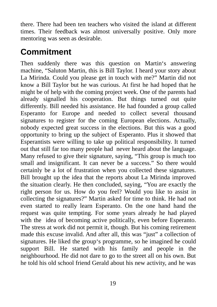there. There had been ten teachers who visited the island at different times. Their feedback was almost universally positive. Only more mentoring was seen as desirable.

#### <span id="page-19-0"></span>**Commitment**

Then suddenly there was this question on Martin's answering machine, "Saluton Martin, this is Bill Taylor. I heard your story about La Mirinda. Could you please get in touch with me?" Martin did not know a Bill Taylor but he was curious. At first he had hoped that he might be of help with the coming project week. One of the parents had already signalled his cooperation. But things turned out quite differently. Bill needed his assistance. He had founded a group called Esperanto for Europe and needed to collect several thousand signatures to register for the coming European elections. Actually, nobody expected great success in the elections. But this was a good opportunity to bring up the subject of Esperanto. Plus it showed that Esperantists were willing to take up political responsibility. It turned out that still far too many people had never heard about the language. Many refused to give their signature, saying, "This group is much too small and insignificant. It can never be a success." So there would certainly be a lot of frustration when you collected these signatures. Bill brought up the idea that the reports about La Mirinda improved the situation clearly. He then concluded, saying, "You are exactly the right person for us. How do you feel? Would you like to assist in collecting the signatures?" Martin asked for time to think. He had not even started to really learn Esperanto. On the one hand hand the request was quite tempting. For some years already he had played with the idea of becoming active politically, even before Esperanto. The stress at work did not permit it, though. But his coming retirement made this excuse invalid. And after all, this was "just" a collection of signatures. He liked the group's programme, so he imagined he could support Bill. He started with his family and people in the neighbourhood. He did not dare to go to the street all on his own. But he told his old school friend Gerald about his new activity, and he was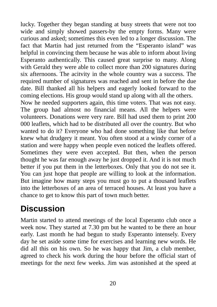lucky. Together they began standing at busy streets that were not too wide and simply showed passers-by the empty forms. Many were curious and asked; sometimes this even led to a longer discussion. The fact that Martin had just returned from the "Esperanto island" was helpful in convincing them because he was able to inform about living Esperanto authentically. This caused great surprise to many. Along with Gerald they were able to collect more than 200 signatures during six afternoons. The acitvity in the whole country was a success. The required number of signatures was reached and sent in before the due date. Bill thanked all his helpers and eagerly looked forward to the coming elections. His group would stand up along with all the others. Now he needed supporters again, this time voters. That was not easy. The group had almost no financial means. All the helpers were volunteers. Donations were very rare. Bill had used them to print 200 000 leaflets, which had to be distributed all over the country. But who wanted to do it? Everyone who had done something like that before knew what drudgery it meant. You often stood at a windy corner of a station and were happy when people even noticed the leaflets offered. Sometimes they were even accepted. But then, when the person thought he was far enough away he just dropped it. And it is not much better if you put them in the letterboxes. Only that you do not see it. You can just hope that people are willing to look at the information. But imagine how many steps you must go to put a thousand leaflets into the letterboxes of an area of terraced houses. At least you have a chance to get to know this part of town much better.

## <span id="page-20-0"></span>**Discussion**

Martin started to attend meetings of the local Esperanto club once a week now. They started at 7.30 pm but he wanted to be there an hour early. Last month he had begun to study Esperanto intensely. Every day he set aside some time for exercises and learning new words. He did all this on his own. So he was happy that Jim, a club member, agreed to check his work during the hour before the official start of meetings for the next few weeks. Jim was astonished at the speed at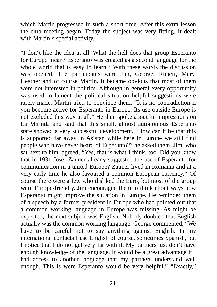which Martin progressed in such a short time. After this extra lesson the club meeting began. Today the subject was very fitting. It dealt with Martin's special activity.

"I don't like the idea at all. What the hell does that group Esperanto for Europe mean? Esperanto was created as a second language for the whole world that is easy to learn." With these words the discussion was opened. The participants were Jim, George, Rupert, Mary, Heather and of course Martin. It became obvious that most of them were not interested in politics. Although in general every opportunity was used to lament the political situation helpful suggestions were rarely made. Martin tried to convince them, "It is no contradiction if you become active for Esperanto in Europe. Its use outside Europe is not excluded this way at all." He then spoke about his impressions on La Mirinda and said that this small, almost autonomous Esperanto state showed a very successful development. "How can it be that this is supported far away in Asistan while here in Europe we still find people who have never heard of Esperanto?" he asked them. Jim, who sat next to him, agreed, "Yes, that is what I think, too. Did you know that in 1931 Josef Zauner already suggested the use of Esperanto for communication in a united Europe? Zauner lived in Romania and at a very early time he also favoured a common European currency." Of course there were a few who disliked the Euro, but most of the group were Europe-friendly. Jim encouraged them to think about ways how Esperanto might improve the situation in Europe. He reminded them of a speech by a former president in Europe who had pointed out that a common working language in Europe was missing. As might be expected, the next subject was English. Nobody doubted that English actually was the common working language. George commented, "We have to be careful not to say anything against English. In my international contacts I use English of course, sometimes Spanish, but I notice that I do not get very far with it. My partners just don't have enough knowledge of the language. It would be a great advantage if I had access to another language that my partners understand well enough. This is were Esperanto would be very helpful." "Exactly,"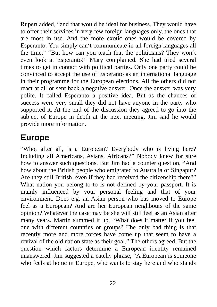Rupert added, "and that would be ideal for business. They would have to offer their services in very few foreign languages only, the ones that are most in use. And the more exotic ones would be covered by Esperanto. You simply can't communicate in all foreign languages all the time." "But how can you teach that the politicians? They won't even look at Esperanto!" Mary complained. She had tried several times to get in contact with political parties. Only one party could be convinced to accept the use of Esperanto as an international language in their programme for the European elections. All the others did not react at all or sent back a negative answer. Once the answer was very polite. It called Esperanto a positive idea. But as the chances of success were very small they did not have anyone in the party who supported it. At the end of the discussion they agreed to go into the subject of Europe in depth at the next meeting. Jim said he would provide more information.

#### <span id="page-22-0"></span>**Europe**

"Who, after all, is a European? Everybody who is living here? Including all Americans, Asians, Africans?" Nobody knew for sure how to answer such questions. But Jim had a counter question, "And how about the British people who emigrated to Australia or Singapur? Are they still British, even if they had received the citizenship there?" What nation you belong to to is not defined by your passport. It is mainly influenced by your personal feeling and that of your environment. Does e.g. an Asian person who has moved to Europe feel as a European? And are her European neighbours of the same opinion? Whatever the case may be she will still feel as an Asian after many years. Martin summed it up, "What does it matter if you feel one with different countries or groups? The only bad thing is that recently more and more forces have come up that seem to have a revival of the old nation state as their goal." The others agreed. But the question which factors determine a European identity remained unanswered. Jim suggested a catchy phrase, "A European is someone who feels at home in Europe, who wants to stay here and who stands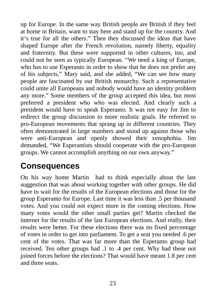up for Europe. In the same way British people are British if they feel at home in Britain, want to stay here and stand up for the country. And it's true for all the others." Then they discussed the ideas that have shaped Europe after the French revolution, namely liberty, equality and fraternity. But these were supported in other cultures, too, and could not be seen as typically European. "We need a king of Europe, who has to use Esperanto in order to show that he does not prefer any of his subjects," Mary said, and she added, "We can see how many people are fascinated by our British monarchy. Such a representative could unite all Europeans and nobody would have an identity problem any more." Some members of the group accepted this idea, but most preferred a president who who was elected. And clearly such a president would have to speak Esperanto. It was not easy for Jim to redirect the group discussion to more realistic goals. He referred to pro-European movements that sprang up in different countries. They often demonstrated in large numbers and stood up against those who were anti-European and openly showed their xenophobia. Jim demanded, "We Esperantists should cooperate with the pro-European groups. We cannot accomplish anything on our own anyway."

#### <span id="page-23-0"></span>**Consequences**

On his way home Martin had to think especially about the last suggestion that was about working together with other groups. He did have to wait for the results of the European elections and those for the group Esperanto for Europe. Last time it was less than .5 per thousand votes. And you could not expect more in the coming elections. How many votes would the other small parties get? Martin checked the internet for the results of the last European elections. And really, their results were better. For these elections there was no fixed percentage of votes in order to get into parliament. To get a seat you needed .6 per cent of the votes. That was far more than the Esperanto group had received. Ten other groups had .1 to .4 per cent. Why had these not joined forces before the elections? That would have meant 1.8 per cent and three seats.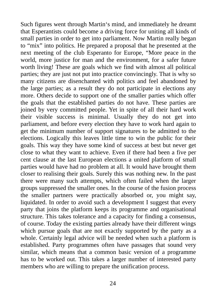Such figures went through Martin's mind, and immediately he dreamt that Esperantists could become a driving force for uniting all kinds of small parties in order to get into parliament. Now Martin really began to "mix" into politics. He prepared a proposal that he presented at the next meeting of the club Esperanto for Europe, "More peace in the world, more justice for man and the environment, for a safer future worth living! These are goals which we find with almost all political parties; they are just not put into practice convincingly. That is why so many citizens are disenchanted with politics and feel abandoned by the large parties; as a result they do not participate in elections any more. Others decide to support one of the smaller parties which offer the goals that the established parties do not have. These parties are joined by very committed people. Yet in spite of all their hard work their visible success is minimal. Usually they do not get into parliament, and before every election they have to work hard again to get the minimum number of support signatures to be admitted to the elections. Logically this leaves little time to win the public for their goals. This way they have some kind of success at best but never get close to what they want to achieve. Even if there had been a five per cent clause at the last European elections a united platform of small parties would have had no problem at all. It would have brought them closer to realising their goals. Surely this was nothing new. In the past there were many such attempts, which often failed when the larger groups suppressed the smaller ones. In the course of the fusion process the smaller partners were practically absorbed or, you might say, liquidated. In order to avoid such a development I suggest that every party that joins the platform keeps its programme and organisational structure. This takes tolerance and a capacity for finding a consensus, of course. Today the existing parties already have their different wings which pursue goals that are not exactly supported by the party as a whole. Certainly legal advice will be needed when such a platform is established. Party programmes often have passages that sound very similar, which means that a common basic version of a programme has to be worked out. This takes a larger number of interested party members who are willing to prepare the unification process.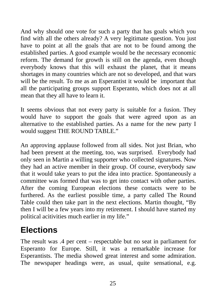And why should one vote for such a party that has goals which you find with all the others already? A very legitimate question. You just have to point at all the goals that are not to be found among the established parties. A good example would be the necessary economic reform. The demand for growth is still on the agenda, even though everybody knows that this will exhaust the planet, that it means shortages in many countries which are not so developed, and that wars will be the result. To me as an Esperantist it would be important that all the participating groups support Esperanto, which does not at all mean that they all have to learn it.

It seems obvious that not every party is suitable for a fusion. They would have to support the goals that were agreed upon as an alternative to the established parties. As a name for the new party I would suggest THE ROUND TABLE."

An approving applause followed from all sides. Not just Brian, who had been present at the meeting, too, was surprised. Everybody had only seen in Martin a willing supporter who collected signatures. Now they had an active member in their group. Of course, everybody saw that it would take years to put the idea into practice. Spontaneously a committee was formed that was to get into contact with other parties. After the coming European elections these contacts were to be furthered. As the earliest possible time, a party called The Round Table could then take part in the next elections. Martin thought, "By then I will be a few years into my retirement. I should have started my political acitivities much earlier in my life."

### <span id="page-25-0"></span>**Elections**

The result was .4 per cent – respectable but no seat in parliament for Esperanto for Europe. Still, it was a remarkable increase for Esperantists. The media showed great interest and some admiration. The newspaper headings were, as usual, quite sensational, e.g.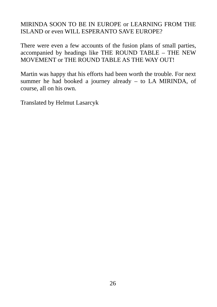#### MIRINDA SOON TO BE IN EUROPE or LEARNING FROM THE ISLAND or even WILL ESPERANTO SAVE EUROPE?

There were even a few accounts of the fusion plans of small parties, accompanied by headings like THE ROUND TABLE – THE NEW MOVEMENT or THE ROUND TABLE AS THE WAY OUT!

Martin was happy that his efforts had been worth the trouble. For next summer he had booked a journey already – to LA MIRINDA, of course, all on his own.

Translated by Helmut Lasarcyk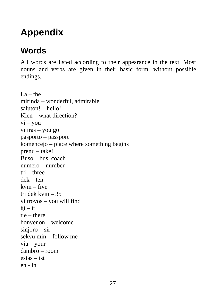# <span id="page-27-1"></span>**Appendix**

## <span id="page-27-0"></span>**Words**

All words are listed according to their appearance in the text. Most nouns and verbs are given in their basic form, without possible endings.

 $La$  – the mirinda – wonderful, admirable saluton! – hello! Kien – what direction?  $vi - you$ vi iras – you go pasporto – passport komencejo – place where something begins prenu – take! Buso – bus, coach numero – number tri – three dek – ten kvin – five tri dek kvin – 35 vi trovos – you will find  $\hat{g}$ i – it tie – there bonvenon – welcome sinjoro – sir sekvu min – follow me via – your ĉambro – room estas – ist en - in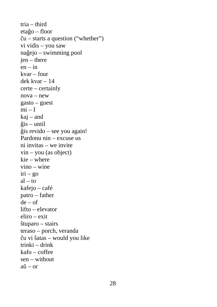tria – third etaĝo – floor  $\hat{c}$ u – starts a question ("whether") vi vidis – you saw naĝejo – swimming pool jen – there  $en - in$ kvar – four dek kvar – 14 certe – certainly nova – new gasto – guest  $mi - I$ kaj – and ĝis – until ĝis revido – see you again! Pardonu nin – excuse us ni invitas – we invite  $vin - you$  (as object) kie – where vino – wine  $iri - go$  $al - to$ kafejo – café patro – father  $de - of$ lifto – elevator eliro – exit ŝtuparo – stairs teraso – porch, veranda ĉu vi ŝatas – would you like trinki – drink kafo – coffee sen – without aŭ – or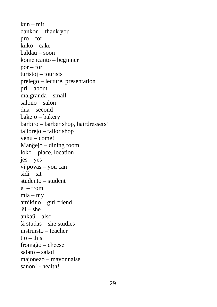kun – mit dankon – thank you pro – for kuko – cake baldaŭ – soon komencanto – beginner por – for turistoj – tourists prelego – lecture, presentation pri – about malgranda – small salono – salon dua – second bakejo – bakery barbiro – barber shop, hairdressers' tajlorejo – tailor shop venu – come! Manĝejo – dining room loko – place, location jes – yes vi povas – you can sidi – sit studento – student  $el$  – from  $mia - my$ amikino – girl friend  $$i - she$ ankaŭ – also ŝi studas – she studies instruisto – teacher  $tio - this$ fromaĝo – cheese salato – salad majonezo – mayonnaise sanon! - health!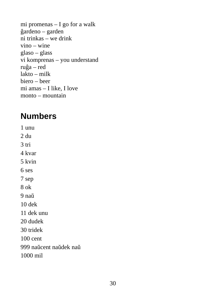mi promenas – I go for a walk ĝardeno – garden ni trinkas – we drink vino – wine glaso – glass vi komprenas – you understand ruĝa – red lakto – milk biero – beer mi amas – I like, I love monto – mountain

#### <span id="page-30-0"></span>**Numbers**

1 unu 2 du 3 tri 4 kvar 5 kvin 6 ses 7 sep 8 ok 9 naŭ 10 dek 11 dek unu 20 dudek 30 tridek 100 cent 999 naŭcent naŭdek naŭ 1000 mil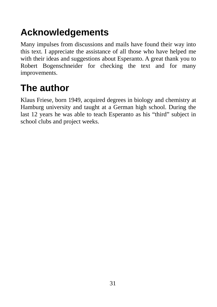# <span id="page-31-1"></span>**Acknowledgements**

Many impulses from discussions and mails have found their way into this text. I appreciate the assistance of all those who have helped me with their ideas and suggestions about Esperanto. A great thank you to Robert Bogenschneider for checking the text and for many improvements.

## <span id="page-31-0"></span>**The author**

Klaus Friese, born 1949, acquired degrees in biology and chemistry at Hamburg university and taught at a German high school. During the last 12 years he was able to teach Esperanto as his "third" subject in school clubs and project weeks.